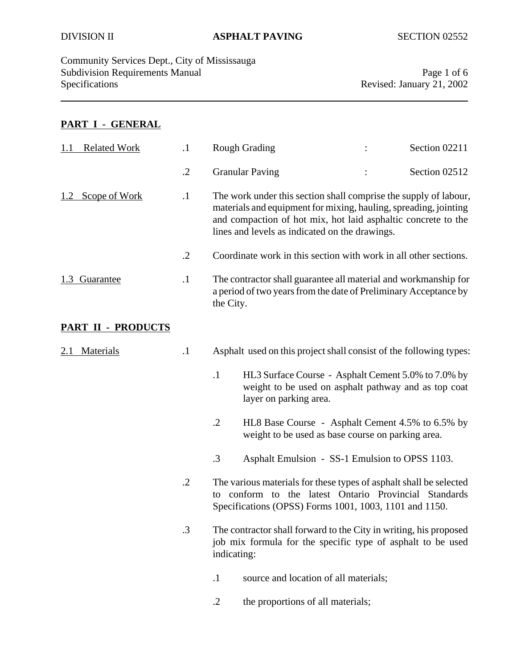Community Services Dept., City of Mississauga Subdivision Requirements Manual Page 1 of 6<br>Specifications Page 1 of 6<br>Revised: January 21, 2002

Revised: January 21, 2002

# **PART I - GENERAL**

| <b>Related Work</b>       | $\cdot$    | <b>Rough Grading</b>                                                                                                                                                                                                                                    |  | Section 02211 |
|---------------------------|------------|---------------------------------------------------------------------------------------------------------------------------------------------------------------------------------------------------------------------------------------------------------|--|---------------|
|                           | $\cdot$ .2 | <b>Granular Paving</b>                                                                                                                                                                                                                                  |  | Section 02512 |
| Scope of Work             | $\cdot$ 1  | The work under this section shall comprise the supply of labour,<br>materials and equipment for mixing, hauling, spreading, jointing<br>and compaction of hot mix, hot laid asphaltic concrete to the<br>lines and levels as indicated on the drawings. |  |               |
|                           | $\cdot$ .2 | Coordinate work in this section with work in all other sections.                                                                                                                                                                                        |  |               |
| 1.3 Guarantee             | $\cdot$    | The contractor shall guarantee all material and workmanship for<br>a period of two years from the date of Preliminary Acceptance by<br>the City.                                                                                                        |  |               |
| <b>PART II - PRODUCTS</b> |            |                                                                                                                                                                                                                                                         |  |               |
| <b>Materials</b>          | $\cdot$    | Asphalt used on this project shall consist of the following types:                                                                                                                                                                                      |  |               |
|                           |            | $\cdot$ 1<br>HL3 Surface Course - Asphalt Cement 5.0% to 7.0% by<br>weight to be used on asphalt pathway and as top coat<br>layer on parking area.                                                                                                      |  |               |
|                           |            | $\cdot$ .2<br>HL8 Base Course - Asphalt Cement 4.5% to 6.5% by<br>weight to be used as base course on parking area.                                                                                                                                     |  |               |
|                           |            | .3<br>Asphalt Emulsion - SS-1 Emulsion to OPSS 1103.                                                                                                                                                                                                    |  |               |
|                           | $\cdot$ .2 | The various materials for these types of asphalt shall be selected<br>conform to the latest Ontario Provincial Standards<br>to<br>Specifications (OPSS) Forms 1001, 1003, 1101 and 1150.                                                                |  |               |
|                           | $\cdot$ 3  | The contractor shall forward to the City in writing, his proposed<br>job mix formula for the specific type of asphalt to be used<br>indicating:                                                                                                         |  |               |
|                           |            | $\cdot$<br>source and location of all materials;                                                                                                                                                                                                        |  |               |
|                           |            | $\cdot$ .2<br>the proportions of all materials;                                                                                                                                                                                                         |  |               |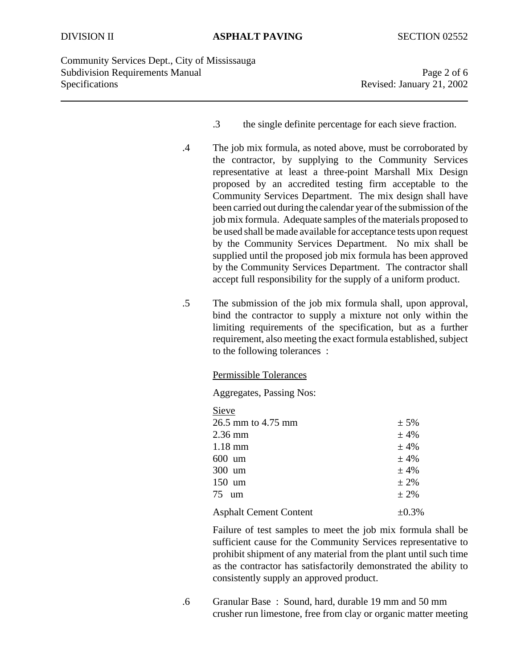Community Services Dept., City of Mississauga Subdivision Requirements Manual Page 2 of 6 Specifications Revised: January 21, 2002

- .3 the single definite percentage for each sieve fraction.
- .4 The job mix formula, as noted above, must be corroborated by the contractor, by supplying to the Community Services representative at least a three-point Marshall Mix Design proposed by an accredited testing firm acceptable to the Community Services Department. The mix design shall have been carried out during the calendar year of the submission of the job mix formula. Adequate samples of the materials proposed to be used shall be made available for acceptance tests upon request by the Community Services Department. No mix shall be supplied until the proposed job mix formula has been approved by the Community Services Department. The contractor shall accept full responsibility for the supply of a uniform product.
- .5 The submission of the job mix formula shall, upon approval, bind the contractor to supply a mixture not only within the limiting requirements of the specification, but as a further requirement, also meeting the exact formula established, subject to the following tolerances :

#### Permissible Tolerances

Aggregates, Passing Nos:

| Sieve                         |             |
|-------------------------------|-------------|
| 26.5 mm to 4.75 mm            | $± 5\%$     |
| $2.36$ mm                     | ±4%         |
| $1.18$ mm                     | ±4%         |
| $600$ um                      | ±4%         |
| $300 \text{ um}$              | ±4%         |
| $150 \text{ um}$              | $± 2\%$     |
| 75<br>um                      | $± 2\%$     |
| <b>Asphalt Cement Content</b> | $\pm 0.3\%$ |

Failure of test samples to meet the job mix formula shall be sufficient cause for the Community Services representative to prohibit shipment of any material from the plant until such time as the contractor has satisfactorily demonstrated the ability to consistently supply an approved product.

.6 Granular Base : Sound, hard, durable 19 mm and 50 mm crusher run limestone, free from clay or organic matter meeting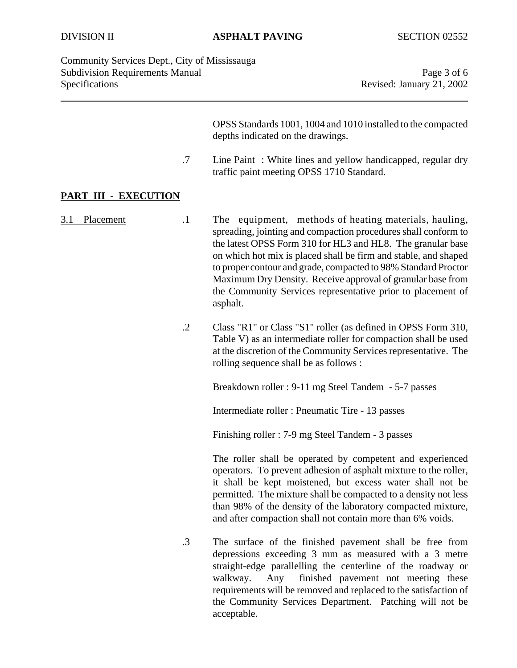Community Services Dept., City of Mississauga Subdivision Requirements Manual **Page 3** of 6 Specifications Revised: January 21, 2002

OPSS Standards 1001, 1004 and 1010 installed to the compacted depths indicated on the drawings.

.7 Line Paint : White lines and yellow handicapped, regular dry traffic paint meeting OPSS 1710 Standard.

### **PART III - EXECUTION**

3.1 Placement .1 The equipment, methods of heating materials, hauling, spreading, jointing and compaction procedures shall conform to the latest OPSS Form 310 for HL3 and HL8. The granular base on which hot mix is placed shall be firm and stable, and shaped to proper contour and grade, compacted to 98% Standard Proctor Maximum Dry Density. Receive approval of granular base from the Community Services representative prior to placement of asphalt.

> .2 Class "R1" or Class "S1" roller (as defined in OPSS Form 310, Table V) as an intermediate roller for compaction shall be used at the discretion of the Community Services representative. The rolling sequence shall be as follows :

> > Breakdown roller : 9-11 mg Steel Tandem - 5-7 passes

Intermediate roller : Pneumatic Tire - 13 passes

Finishing roller : 7-9 mg Steel Tandem - 3 passes

The roller shall be operated by competent and experienced operators. To prevent adhesion of asphalt mixture to the roller, it shall be kept moistened, but excess water shall not be permitted. The mixture shall be compacted to a density not less than 98% of the density of the laboratory compacted mixture, and after compaction shall not contain more than 6% voids.

.3 The surface of the finished pavement shall be free from depressions exceeding 3 mm as measured with a 3 metre straight-edge parallelling the centerline of the roadway or walkway. Any finished pavement not meeting these requirements will be removed and replaced to the satisfaction of the Community Services Department. Patching will not be acceptable.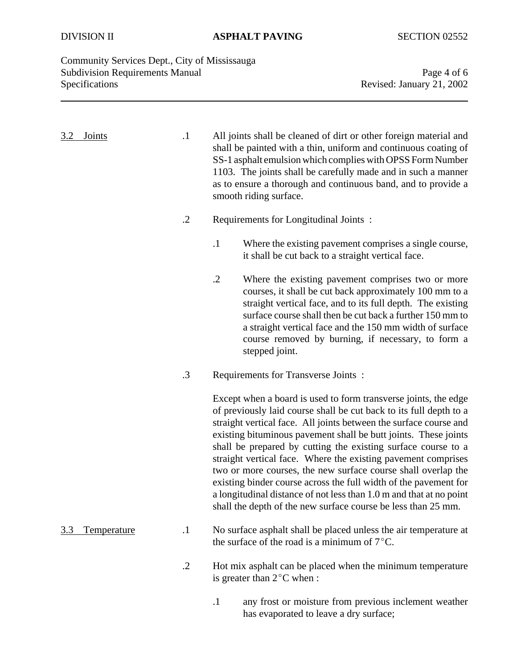Community Services Dept., City of Mississauga Subdivision Requirements Manual Page 4 of 6<br>Specifications Revised: January 21, 2002

Revised: January 21, 2002

| 3.2<br><b>Joints</b> | $\cdot$ 1  | All joints shall be cleaned of dirt or other foreign material and<br>shall be painted with a thin, uniform and continuous coating of<br>SS-1 asphalt emulsion which complies with OPSS Form Number<br>1103. The joints shall be carefully made and in such a manner<br>as to ensure a thorough and continuous band, and to provide a<br>smooth riding surface.                                                                                                                                                                                                                                                                                                                               |  |
|----------------------|------------|----------------------------------------------------------------------------------------------------------------------------------------------------------------------------------------------------------------------------------------------------------------------------------------------------------------------------------------------------------------------------------------------------------------------------------------------------------------------------------------------------------------------------------------------------------------------------------------------------------------------------------------------------------------------------------------------|--|
|                      | $\cdot$ .2 | Requirements for Longitudinal Joints:                                                                                                                                                                                                                                                                                                                                                                                                                                                                                                                                                                                                                                                        |  |
|                      |            | $\cdot$ 1<br>Where the existing pavement comprises a single course,<br>it shall be cut back to a straight vertical face.                                                                                                                                                                                                                                                                                                                                                                                                                                                                                                                                                                     |  |
|                      |            | $\cdot$ .2<br>Where the existing pavement comprises two or more<br>courses, it shall be cut back approximately 100 mm to a<br>straight vertical face, and to its full depth. The existing<br>surface course shall then be cut back a further 150 mm to<br>a straight vertical face and the 150 mm width of surface<br>course removed by burning, if necessary, to form a<br>stepped joint.                                                                                                                                                                                                                                                                                                   |  |
|                      | $\cdot$ 3  | Requirements for Transverse Joints:                                                                                                                                                                                                                                                                                                                                                                                                                                                                                                                                                                                                                                                          |  |
|                      |            | Except when a board is used to form transverse joints, the edge<br>of previously laid course shall be cut back to its full depth to a<br>straight vertical face. All joints between the surface course and<br>existing bituminous pavement shall be butt joints. These joints<br>shall be prepared by cutting the existing surface course to a<br>straight vertical face. Where the existing pavement comprises<br>two or more courses, the new surface course shall overlap the<br>existing binder course across the full width of the pavement for<br>a longitudinal distance of not less than 1.0 m and that at no point<br>shall the depth of the new surface course be less than 25 mm. |  |
| Temperature<br>3.3   | $\cdot$    | No surface asphalt shall be placed unless the air temperature at<br>the surface of the road is a minimum of $7^{\circ}$ C.                                                                                                                                                                                                                                                                                                                                                                                                                                                                                                                                                                   |  |
|                      | $\cdot$ .2 | Hot mix asphalt can be placed when the minimum temperature<br>is greater than $2^{\circ}$ C when :                                                                                                                                                                                                                                                                                                                                                                                                                                                                                                                                                                                           |  |
|                      |            | ony frost or moisture from provious inclement weether                                                                                                                                                                                                                                                                                                                                                                                                                                                                                                                                                                                                                                        |  |

.1 any frost or moisture from previous inclement weather has evaporated to leave a dry surface;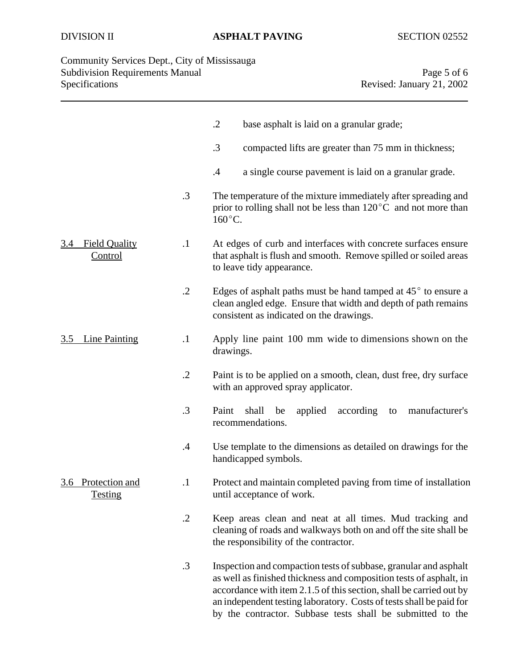## DIVISION II **ASPHALT PAVING** SECTION 02552

| Community Services Dept., City of Mississauga |                           |
|-----------------------------------------------|---------------------------|
| <b>Subdivision Requirements Manual</b>        | Page 5 of 6               |
| Specifications                                | Revised: January 21, 2002 |

|                                         |            | $\cdot$ .2<br>base asphalt is laid on a granular grade;                                                                                                                                                                                                                                                                                            |
|-----------------------------------------|------------|----------------------------------------------------------------------------------------------------------------------------------------------------------------------------------------------------------------------------------------------------------------------------------------------------------------------------------------------------|
|                                         |            | .3<br>compacted lifts are greater than 75 mm in thickness;                                                                                                                                                                                                                                                                                         |
|                                         |            | .4<br>a single course pavement is laid on a granular grade.                                                                                                                                                                                                                                                                                        |
|                                         | $\cdot$ 3  | The temperature of the mixture immediately after spreading and<br>prior to rolling shall not be less than $120^{\circ}$ C and not more than<br>$160^{\circ}$ C.                                                                                                                                                                                    |
| <b>Field Quality</b><br>3.4<br>Control  | $\cdot$ 1  | At edges of curb and interfaces with concrete surfaces ensure<br>that asphalt is flush and smooth. Remove spilled or soiled areas<br>to leave tidy appearance.                                                                                                                                                                                     |
|                                         | $\cdot$ .2 | Edges of asphalt paths must be hand tamped at $45^{\circ}$ to ensure a<br>clean angled edge. Ensure that width and depth of path remains<br>consistent as indicated on the drawings.                                                                                                                                                               |
| <b>Line Painting</b><br><u>3.5</u>      | $\cdot$    | Apply line paint 100 mm wide to dimensions shown on the<br>drawings.                                                                                                                                                                                                                                                                               |
|                                         | $\cdot$ .2 | Paint is to be applied on a smooth, clean, dust free, dry surface<br>with an approved spray applicator.                                                                                                                                                                                                                                            |
|                                         | $\cdot$ 3  | Paint<br>shall<br>manufacturer's<br>be<br>applied<br>according<br>to<br>recommendations.                                                                                                                                                                                                                                                           |
|                                         | $\cdot$ 4  | Use template to the dimensions as detailed on drawings for the<br>handicapped symbols.                                                                                                                                                                                                                                                             |
| Protection and<br>3.6<br><b>Testing</b> | $\cdot$    | Protect and maintain completed paving from time of installation<br>until acceptance of work.                                                                                                                                                                                                                                                       |
|                                         | $\cdot$ .2 | Keep areas clean and neat at all times. Mud tracking and<br>cleaning of roads and walkways both on and off the site shall be<br>the responsibility of the contractor.                                                                                                                                                                              |
|                                         | $\cdot$ 3  | Inspection and compaction tests of subbase, granular and asphalt<br>as well as finished thickness and composition tests of asphalt, in<br>accordance with item 2.1.5 of this section, shall be carried out by<br>an independent testing laboratory. Costs of tests shall be paid for<br>by the contractor. Subbase tests shall be submitted to the |